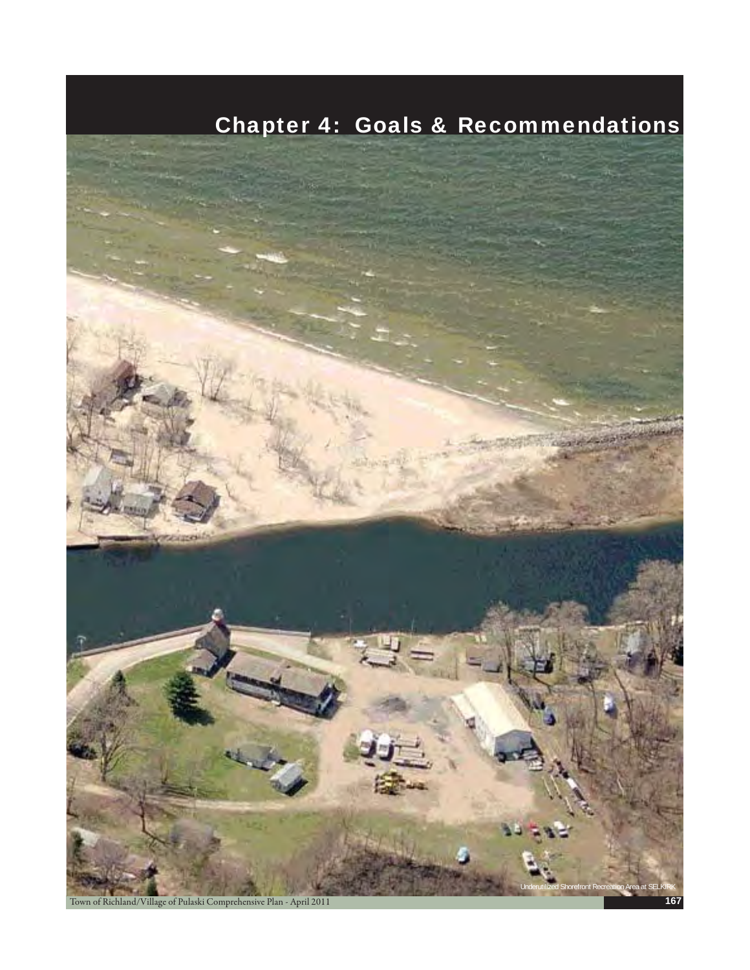# Chapter 4: Goals & Recommendations



Town of Richland/Village of Pulaski Comprehensive Plan - April 2011 **167**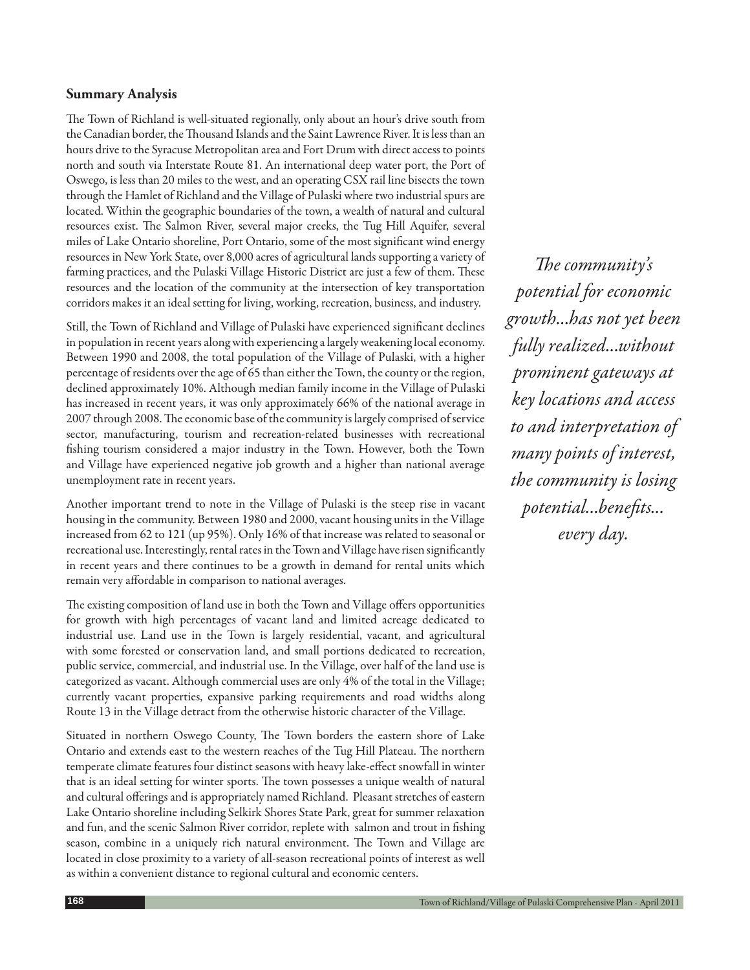## **Summary Analysis**

The Town of Richland is well-situated regionally, only about an hour's drive south from the Canadian border, the Thousand Islands and the Saint Lawrence River. It is less than an hours drive to the Syracuse Metropolitan area and Fort Drum with direct access to points north and south via Interstate Route 81. An international deep water port, the Port of Oswego, is less than 20 miles to the west, and an operating CSX rail line bisects the town through the Hamlet of Richland and the Village of Pulaski where two industrial spurs are located. Within the geographic boundaries of the town, a wealth of natural and cultural resources exist. The Salmon River, several major creeks, the Tug Hill Aquifer, several miles of Lake Ontario shoreline, Port Ontario, some of the most significant wind energy resources in New York State, over 8,000 acres of agricultural lands supporting a variety of farming practices, and the Pulaski Village Historic District are just a few of them. These resources and the location of the community at the intersection of key transportation corridors makes it an ideal setting for living, working, recreation, business, and industry.

Still, the Town of Richland and Village of Pulaski have experienced significant declines in population in recent years along with experiencing a largely weakening local economy. Between 1990 and 2008, the total population of the Village of Pulaski, with a higher percentage of residents over the age of 65 than either the Town, the county or the region, declined approximately 10%. Although median family income in the Village of Pulaski has increased in recent years, it was only approximately 66% of the national average in 2007 through 2008. The economic base of the community is largely comprised of service sector, manufacturing, tourism and recreation-related businesses with recreational fishing tourism considered a major industry in the Town. However, both the Town and Village have experienced negative job growth and a higher than national average unemployment rate in recent years.

Another important trend to note in the Village of Pulaski is the steep rise in vacant housing in the community. Between 1980 and 2000, vacant housing units in the Village increased from 62 to 121 (up 95%). Only 16% of that increase was related to seasonal or recreational use. Interestingly, rental rates in the Town and Village have risen significantly in recent years and there continues to be a growth in demand for rental units which remain very affordable in comparison to national averages.

The existing composition of land use in both the Town and Village offers opportunities for growth with high percentages of vacant land and limited acreage dedicated to industrial use. Land use in the Town is largely residential, vacant, and agricultural with some forested or conservation land, and small portions dedicated to recreation, public service, commercial, and industrial use. In the Village, over half of the land use is categorized as vacant. Although commercial uses are only 4% of the total in the Village; currently vacant properties, expansive parking requirements and road widths along Route 13 in the Village detract from the otherwise historic character of the Village.

Situated in northern Oswego County, The Town borders the eastern shore of Lake Ontario and extends east to the western reaches of the Tug Hill Plateau. The northern temperate climate features four distinct seasons with heavy lake-effect snowfall in winter that is an ideal setting for winter sports. The town possesses a unique wealth of natural and cultural offerings and is appropriately named Richland. Pleasant stretches of eastern Lake Ontario shoreline including Selkirk Shores State Park, great for summer relaxation and fun, and the scenic Salmon River corridor, replete with salmon and trout in fishing season, combine in a uniquely rich natural environment. The Town and Village are located in close proximity to a variety of all-season recreational points of interest as well as within a convenient distance to regional cultural and economic centers.

The community's *potential for economic growth...has not yet been fully realized...without prominent gateways at key locations and access to and interpretation of many points of interest, the community is losing potential...benefits... every day.*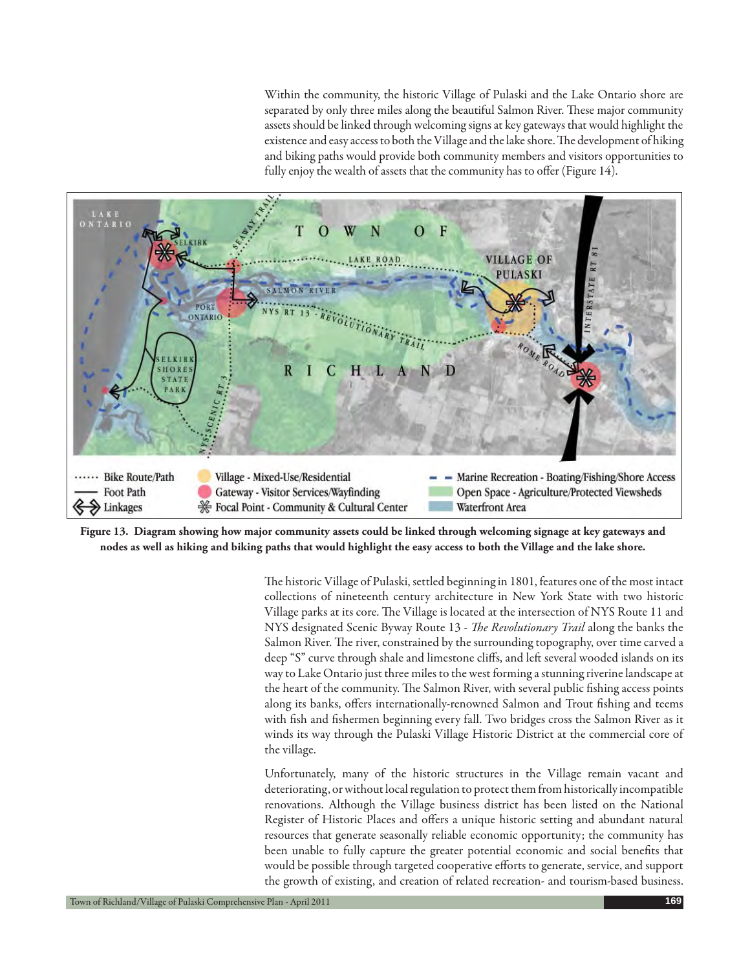Within the community, the historic Village of Pulaski and the Lake Ontario shore are separated by only three miles along the beautiful Salmon River. These major community assets should be linked through welcoming signs at key gateways that would highlight the existence and easy access to both the Village and the lake shore. The development of hiking and biking paths would provide both community members and visitors opportunities to fully enjoy the wealth of assets that the community has to offer (Figure 14).



**Figure 13. Diagram showing how major community assets could be linked through welcoming signage at key gateways and nodes as well as hiking and biking paths that would highlight the easy access to both the Village and the lake shore.**

The historic Village of Pulaski, settled beginning in 1801, features one of the most intact collections of nineteenth century architecture in New York State with two historic Village parks at its core. The Village is located at the intersection of NYS Route 11 and NYS designated Scenic Byway Route 13 - *The Revolutionary Trail* along the banks the Salmon River. The river, constrained by the surrounding topography, over time carved a deep "S" curve through shale and limestone cliffs, and left several wooded islands on its way to Lake Ontario just three miles to the west forming a stunning riverine landscape at the heart of the community. The Salmon River, with several public fishing access points along its banks, offers internationally-renowned Salmon and Trout fishing and teems with fish and fishermen beginning every fall. Two bridges cross the Salmon River as it winds its way through the Pulaski Village Historic District at the commercial core of the village.

Unfortunately, many of the historic structures in the Village remain vacant and deteriorating, or without local regulation to protect them from historically incompatible renovations. Although the Village business district has been listed on the National Register of Historic Places and offers a unique historic setting and abundant natural resources that generate seasonally reliable economic opportunity; the community has been unable to fully capture the greater potential economic and social benefits that would be possible through targeted cooperative efforts to generate, service, and support the growth of existing, and creation of related recreation- and tourism-based business.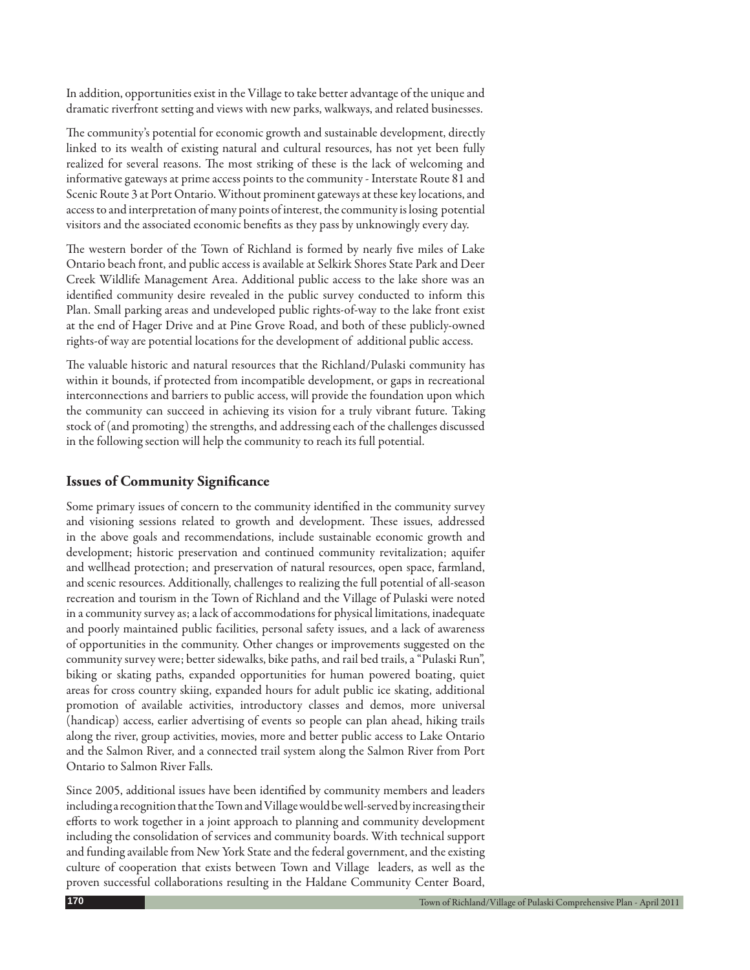In addition, opportunities exist in the Village to take better advantage of the unique and dramatic riverfront setting and views with new parks, walkways, and related businesses.

The community's potential for economic growth and sustainable development, directly linked to its wealth of existing natural and cultural resources, has not yet been fully realized for several reasons. The most striking of these is the lack of welcoming and informative gateways at prime access points to the community - Interstate Route 81 and Scenic Route 3 at Port Ontario. Without prominent gateways at these key locations, and access to and interpretation of many points of interest, the community is losing potential visitors and the associated economic benefits as they pass by unknowingly every day.

The western border of the Town of Richland is formed by nearly five miles of Lake Ontario beach front, and public access is available at Selkirk Shores State Park and Deer Creek Wildlife Management Area. Additional public access to the lake shore was an identified community desire revealed in the public survey conducted to inform this Plan. Small parking areas and undeveloped public rights-of-way to the lake front exist at the end of Hager Drive and at Pine Grove Road, and both of these publicly-owned rights-of way are potential locations for the development of additional public access.

The valuable historic and natural resources that the Richland/Pulaski community has within it bounds, if protected from incompatible development, or gaps in recreational interconnections and barriers to public access, will provide the foundation upon which the community can succeed in achieving its vision for a truly vibrant future. Taking stock of (and promoting) the strengths, and addressing each of the challenges discussed in the following section will help the community to reach its full potential.

## **Issues of Community Significance**

Some primary issues of concern to the community identified in the community survey and visioning sessions related to growth and development. These issues, addressed in the above goals and recommendations, include sustainable economic growth and development; historic preservation and continued community revitalization; aquifer and wellhead protection; and preservation of natural resources, open space, farmland, and scenic resources. Additionally, challenges to realizing the full potential of all-season recreation and tourism in the Town of Richland and the Village of Pulaski were noted in a community survey as; a lack of accommodations for physical limitations, inadequate and poorly maintained public facilities, personal safety issues, and a lack of awareness of opportunities in the community. Other changes or improvements suggested on the community survey were; better sidewalks, bike paths, and rail bed trails, a "Pulaski Run", biking or skating paths, expanded opportunities for human powered boating, quiet areas for cross country skiing, expanded hours for adult public ice skating, additional promotion of available activities, introductory classes and demos, more universal (handicap) access, earlier advertising of events so people can plan ahead, hiking trails along the river, group activities, movies, more and better public access to Lake Ontario and the Salmon River, and a connected trail system along the Salmon River from Port Ontario to Salmon River Falls.

Since 2005, additional issues have been identified by community members and leaders including a recognition that the Town and Village would be well-served by increasing their efforts to work together in a joint approach to planning and community development including the consolidation of services and community boards. With technical support and funding available from New York State and the federal government, and the existing culture of cooperation that exists between Town and Village leaders, as well as the proven successful collaborations resulting in the Haldane Community Center Board,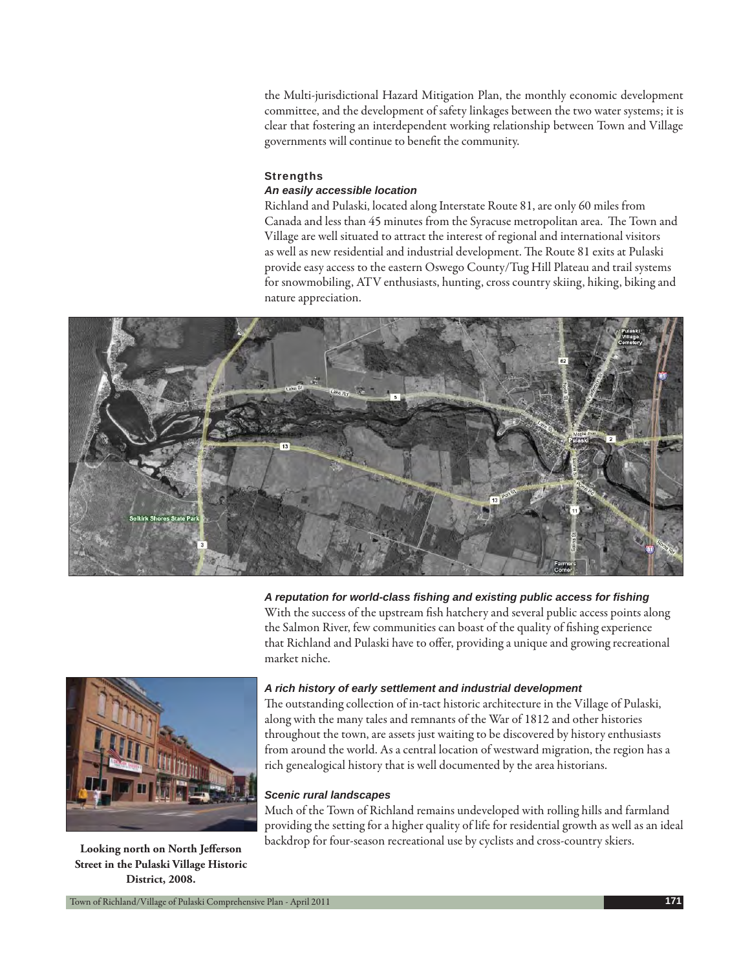the Multi-jurisdictional Hazard Mitigation Plan, the monthly economic development committee, and the development of safety linkages between the two water systems; it is clear that fostering an interdependent working relationship between Town and Village governments will continue to benefit the community.

#### **Strengths**

#### *An easily accessible location*

Richland and Pulaski, located along Interstate Route 81, are only 60 miles from Canada and less than 45 minutes from the Syracuse metropolitan area. The Town and Village are well situated to attract the interest of regional and international visitors as well as new residential and industrial development. The Route 81 exits at Pulaski provide easy access to the eastern Oswego County/Tug Hill Plateau and trail systems for snowmobiling, ATV enthusiasts, hunting, cross country skiing, hiking, biking and nature appreciation.



*A reputation for world-class fi shing and existing public access for fi shing*

With the success of the upstream fish hatchery and several public access points along the Salmon River, few communities can boast of the quality of fishing experience that Richland and Pulaski have to offer, providing a unique and growing recreational market niche.



**Street in the Pulaski Village Historic District, 2008.**

## *A rich history of early settlement and industrial development*

The outstanding collection of in-tact historic architecture in the Village of Pulaski, along with the many tales and remnants of the War of 1812 and other histories throughout the town, are assets just waiting to be discovered by history enthusiasts from around the world. As a central location of westward migration, the region has a rich genealogical history that is well documented by the area historians.

#### *Scenic rural landscapes*

Much of the Town of Richland remains undeveloped with rolling hills and farmland providing the setting for a higher quality of life for residential growth as well as an ideal backdrop for four-season recreational use by cyclists and cross-country skiers. **Looking north on North Jefferson**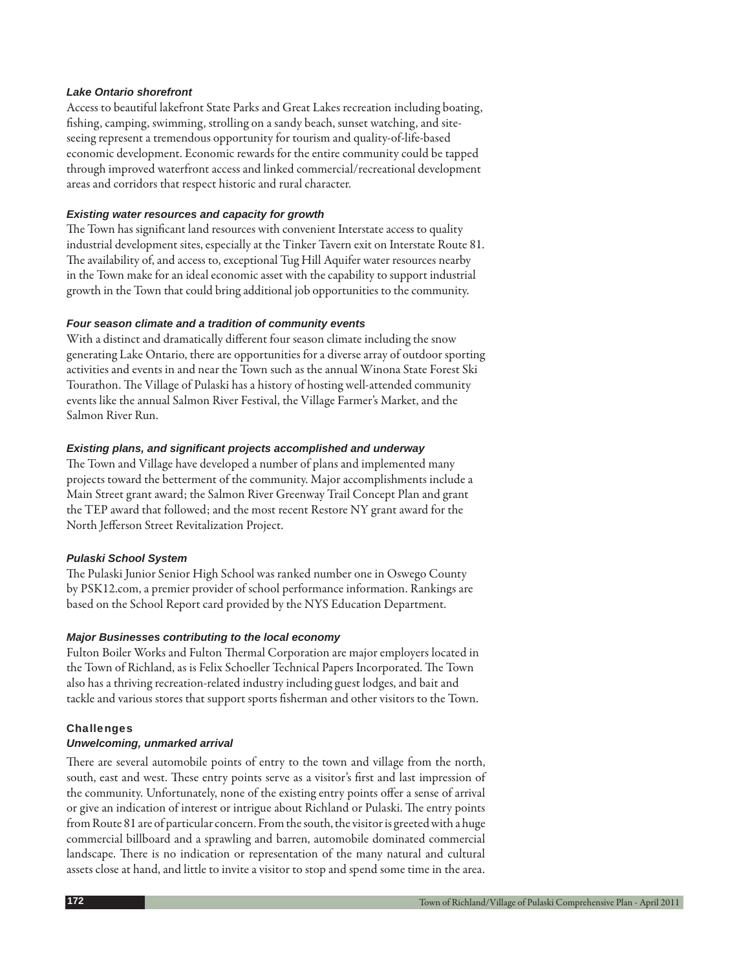#### *Lake Ontario shorefront*

Access to beautiful lakefront State Parks and Great Lakes recreation including boating, fishing, camping, swimming, strolling on a sandy beach, sunset watching, and siteseeing represent a tremendous opportunity for tourism and quality-of-life-based economic development. Economic rewards for the entire community could be tapped through improved waterfront access and linked commercial/recreational development areas and corridors that respect historic and rural character.

#### *Existing water resources and capacity for growth*

The Town has significant land resources with convenient Interstate access to quality industrial development sites, especially at the Tinker Tavern exit on Interstate Route 81. The availability of, and access to, exceptional Tug Hill Aquifer water resources nearby in the Town make for an ideal economic asset with the capability to support industrial growth in the Town that could bring additional job opportunities to the community.

#### *Four season climate and a tradition of community events*

With a distinct and dramatically different four season climate including the snow generating Lake Ontario, there are opportunities for a diverse array of outdoor sporting activities and events in and near the Town such as the annual Winona State Forest Ski Tourathon. The Village of Pulaski has a history of hosting well-attended community events like the annual Salmon River Festival, the Village Farmer's Market, and the Salmon River Run.

#### *Existing plans, and signifi cant projects accomplished and underway*

The Town and Village have developed a number of plans and implemented many projects toward the betterment of the community. Major accomplishments include a Main Street grant award; the Salmon River Greenway Trail Concept Plan and grant the TEP award that followed; and the most recent Restore NY grant award for the North Jefferson Street Revitalization Project.

#### *Pulaski School System*

The Pulaski Junior Senior High School was ranked number one in Oswego County by PSK12.com, a premier provider of school performance information. Rankings are based on the School Report card provided by the NYS Education Department.

#### *Major Businesses contributing to the local economy*

Fulton Boiler Works and Fulton Thermal Corporation are major employers located in the Town of Richland, as is Felix Schoeller Technical Papers Incorporated. The Town also has a thriving recreation-related industry including guest lodges, and bait and tackle and various stores that support sports fisherman and other visitors to the Town.

## **Challenges**

#### *Unwelcoming, unmarked arrival*

There are several automobile points of entry to the town and village from the north, south, east and west. These entry points serve as a visitor's first and last impression of the community. Unfortunately, none of the existing entry points offer a sense of arrival or give an indication of interest or intrigue about Richland or Pulaski. The entry points from Route 81 are of particular concern. From the south, the visitor is greeted with a huge commercial billboard and a sprawling and barren, automobile dominated commercial landscape. There is no indication or representation of the many natural and cultural assets close at hand, and little to invite a visitor to stop and spend some time in the area.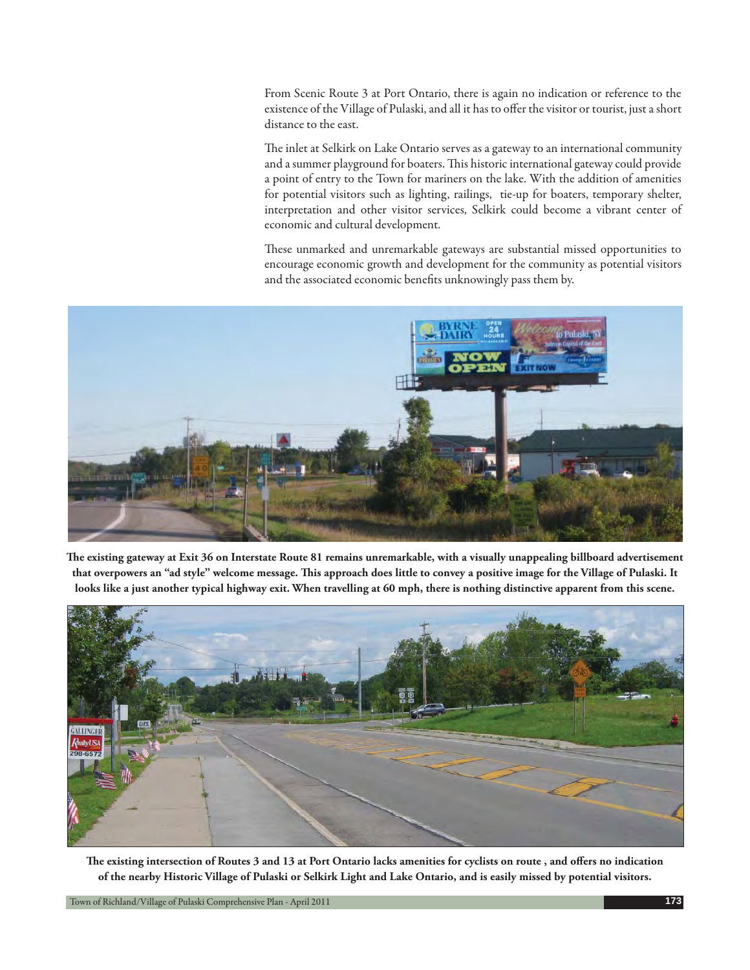From Scenic Route 3 at Port Ontario, there is again no indication or reference to the existence of the Village of Pulaski, and all it has to offer the visitor or tourist, just a short distance to the east.

The inlet at Selkirk on Lake Ontario serves as a gateway to an international community and a summer playground for boaters. This historic international gateway could provide a point of entry to the Town for mariners on the lake. With the addition of amenities for potential visitors such as lighting, railings, tie-up for boaters, temporary shelter, interpretation and other visitor services, Selkirk could become a vibrant center of economic and cultural development.

These unmarked and unremarkable gateways are substantial missed opportunities to encourage economic growth and development for the community as potential visitors and the associated economic benefits unknowingly pass them by.



The existing gateway at Exit 36 on Interstate Route 81 remains unremarkable, with a visually unappealing billboard advertisement that overpowers an "ad style" welcome message. This approach does little to convey a positive image for the Village of Pulaski. It **looks like a just another typical highway exit. When travelling at 60 mph, there is nothing distinctive apparent from this scene.**



The existing intersection of Routes 3 and 13 at Port Ontario lacks amenities for cyclists on route, and offers no indication **of the nearby Historic Village of Pulaski or Selkirk Light and Lake Ontario, and is easily missed by potential visitors.**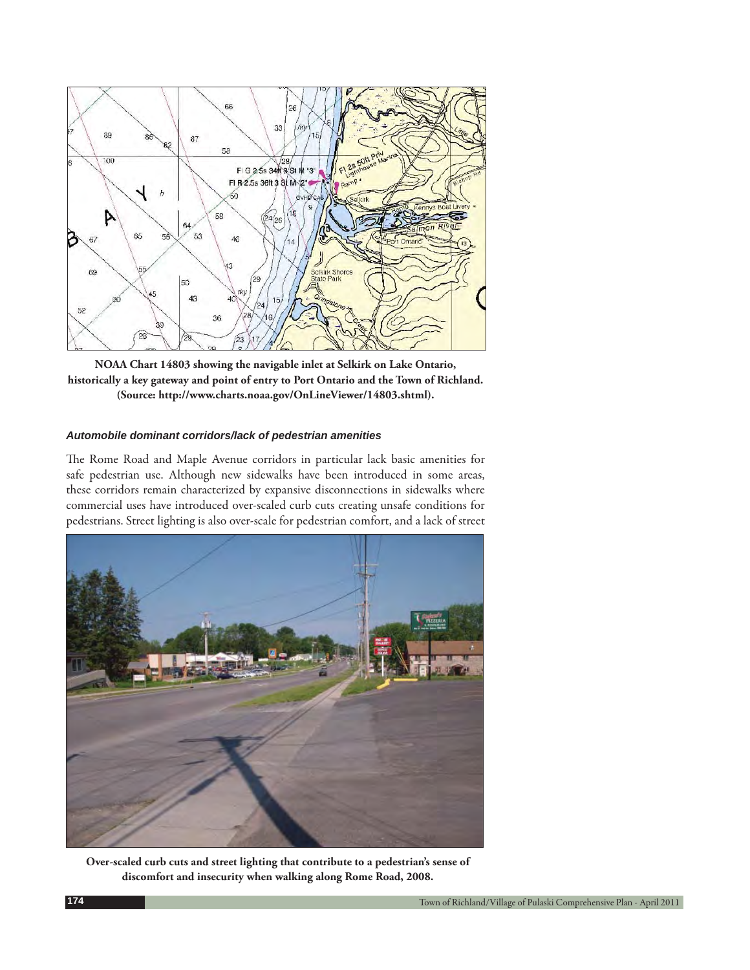

**NOAA Chart 14803 showing the navigable inlet at Selkirk on Lake Ontario, historically a key gateway and point of entry to Port Ontario and the Town of Richland. (Source: http://www.charts.noaa.gov/OnLineViewer/14803.shtml).**

#### *Automobile dominant corridors/lack of pedestrian amenities*

The Rome Road and Maple Avenue corridors in particular lack basic amenities for safe pedestrian use. Although new sidewalks have been introduced in some areas, these corridors remain characterized by expansive disconnections in sidewalks where commercial uses have introduced over-scaled curb cuts creating unsafe conditions for pedestrians. Street lighting is also over-scale for pedestrian comfort, and a lack of street



**Over-scaled curb cuts and street lighting that contribute to a pedestrian's sense of discomfort and insecurity when walking along Rome Road, 2008.**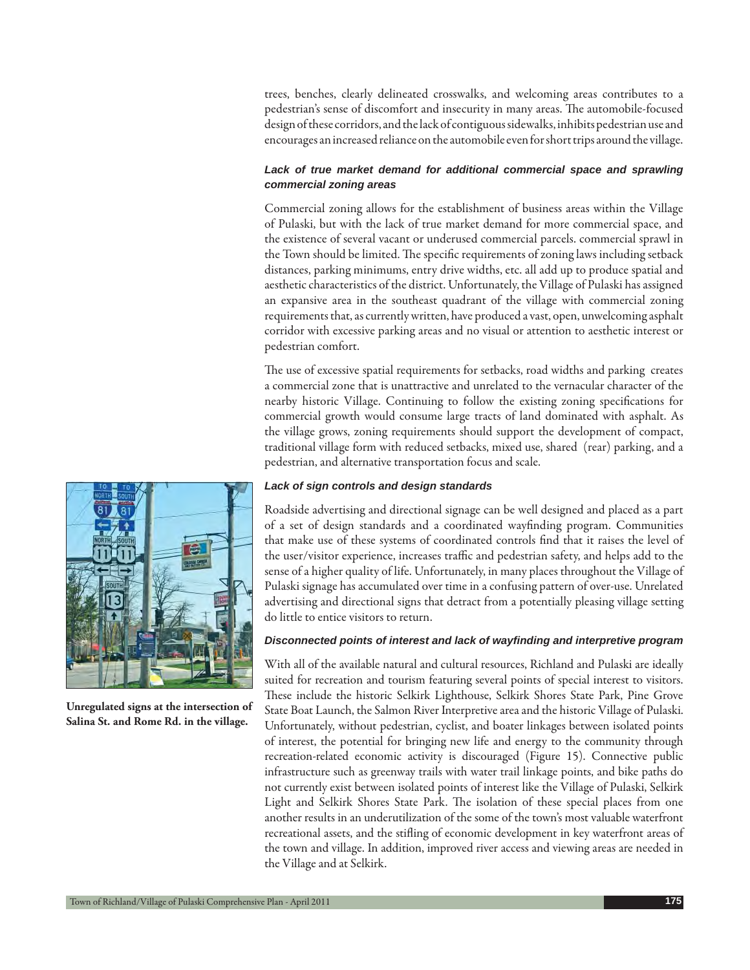trees, benches, clearly delineated crosswalks, and welcoming areas contributes to a pedestrian's sense of discomfort and insecurity in many areas. The automobile-focused design of these corridors, and the lack of contiguous sidewalks, inhibits pedestrian use and encourages an increased reliance on the automobile even for short trips around the village.

## Lack of true market demand for additional commercial space and sprawling *commercial zoning areas*

Commercial zoning allows for the establishment of business areas within the Village of Pulaski, but with the lack of true market demand for more commercial space, and the existence of several vacant or underused commercial parcels. commercial sprawl in the Town should be limited. The specific requirements of zoning laws including setback distances, parking minimums, entry drive widths, etc. all add up to produce spatial and aesthetic characteristics of the district. Unfortunately, the Village of Pulaski has assigned an expansive area in the southeast quadrant of the village with commercial zoning requirements that, as currently written, have produced a vast, open, unwelcoming asphalt corridor with excessive parking areas and no visual or attention to aesthetic interest or pedestrian comfort.

The use of excessive spatial requirements for setbacks, road widths and parking creates a commercial zone that is unattractive and unrelated to the vernacular character of the nearby historic Village. Continuing to follow the existing zoning specifications for commercial growth would consume large tracts of land dominated with asphalt. As the village grows, zoning requirements should support the development of compact, traditional village form with reduced setbacks, mixed use, shared (rear) parking, and a pedestrian, and alternative transportation focus and scale.

#### *Lack of sign controls and design standards*

Roadside advertising and directional signage can be well designed and placed as a part of a set of design standards and a coordinated wayfinding program. Communities that make use of these systems of coordinated controls find that it raises the level of the user/visitor experience, increases traffic and pedestrian safety, and helps add to the sense of a higher quality of life. Unfortunately, in many places throughout the Village of Pulaski signage has accumulated over time in a confusing pattern of over-use. Unrelated advertising and directional signs that detract from a potentially pleasing village setting do little to entice visitors to return.

#### *Disconnected points of interest and lack of wayfi nding and interpretive program*

With all of the available natural and cultural resources, Richland and Pulaski are ideally suited for recreation and tourism featuring several points of special interest to visitors. These include the historic Selkirk Lighthouse, Selkirk Shores State Park, Pine Grove State Boat Launch, the Salmon River Interpretive area and the historic Village of Pulaski. Unfortunately, without pedestrian, cyclist, and boater linkages between isolated points of interest, the potential for bringing new life and energy to the community through recreation-related economic activity is discouraged (Figure 15). Connective public infrastructure such as greenway trails with water trail linkage points, and bike paths do not currently exist between isolated points of interest like the Village of Pulaski, Selkirk Light and Selkirk Shores State Park. The isolation of these special places from one another results in an underutilization of the some of the town's most valuable waterfront recreational assets, and the stifling of economic development in key waterfront areas of the town and village. In addition, improved river access and viewing areas are needed in the Village and at Selkirk.



**Unregulated signs at the intersection of Salina St. and Rome Rd. in the village.**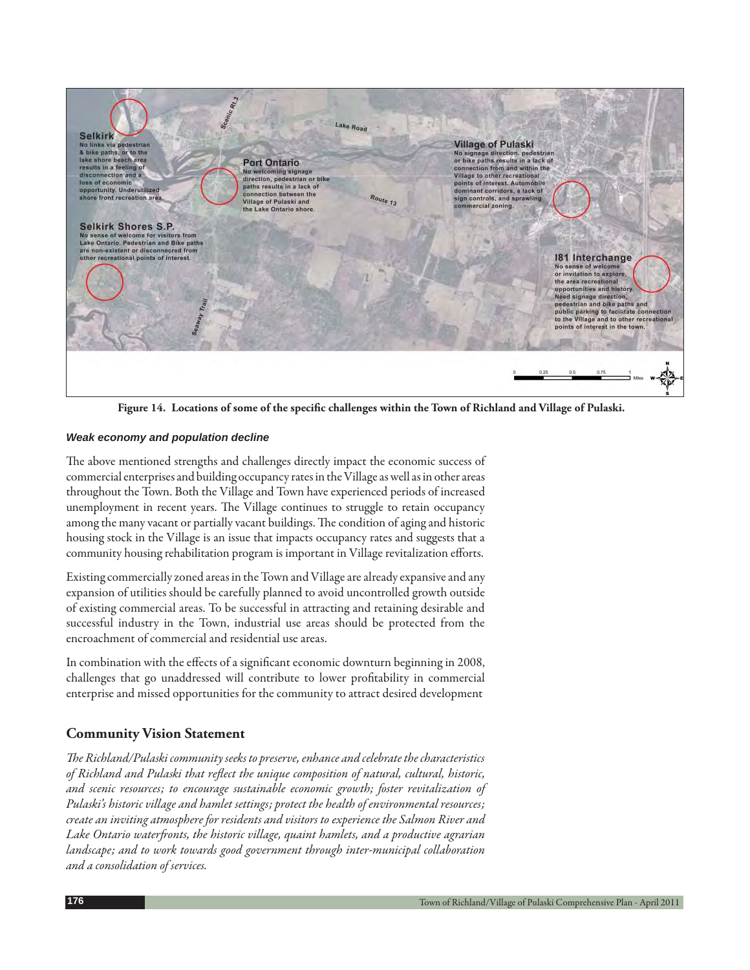

Figure 14. Locations of some of the specific challenges within the Town of Richland and Village of Pulaski.

## *Weak economy and population decline*

The above mentioned strengths and challenges directly impact the economic success of commercial enterprises and building occupancy rates in the Village as well as in other areas throughout the Town. Both the Village and Town have experienced periods of increased unemployment in recent years. The Village continues to struggle to retain occupancy among the many vacant or partially vacant buildings. The condition of aging and historic housing stock in the Village is an issue that impacts occupancy rates and suggests that a community housing rehabilitation program is important in Village revitalization efforts.

Existing commercially zoned areas in the Town and Village are already expansive and any expansion of utilities should be carefully planned to avoid uncontrolled growth outside of existing commercial areas. To be successful in attracting and retaining desirable and successful industry in the Town, industrial use areas should be protected from the encroachment of commercial and residential use areas.

In combination with the effects of a significant economic downturn beginning in 2008, challenges that go unaddressed will contribute to lower profitability in commercial enterprise and missed opportunities for the community to attract desired development

## **Community Vision Statement**

The Richland/Pulaski community seeks to preserve, enhance and celebrate the characteristics of Richland and Pulaski that reflect the unique composition of natural, cultural, historic, *and scenic resources; to encourage sustainable economic growth; foster revitalization of Pulaski's historic village and hamlet settings; protect the health of environmental resources; create an inviting atmosphere for residents and visitors to experience the Salmon River and*  Lake Ontario waterfronts, the historic village, quaint hamlets, and a productive agrarian *landscape; and to work towards good government through inter-municipal collaboration and a consolidation of services.*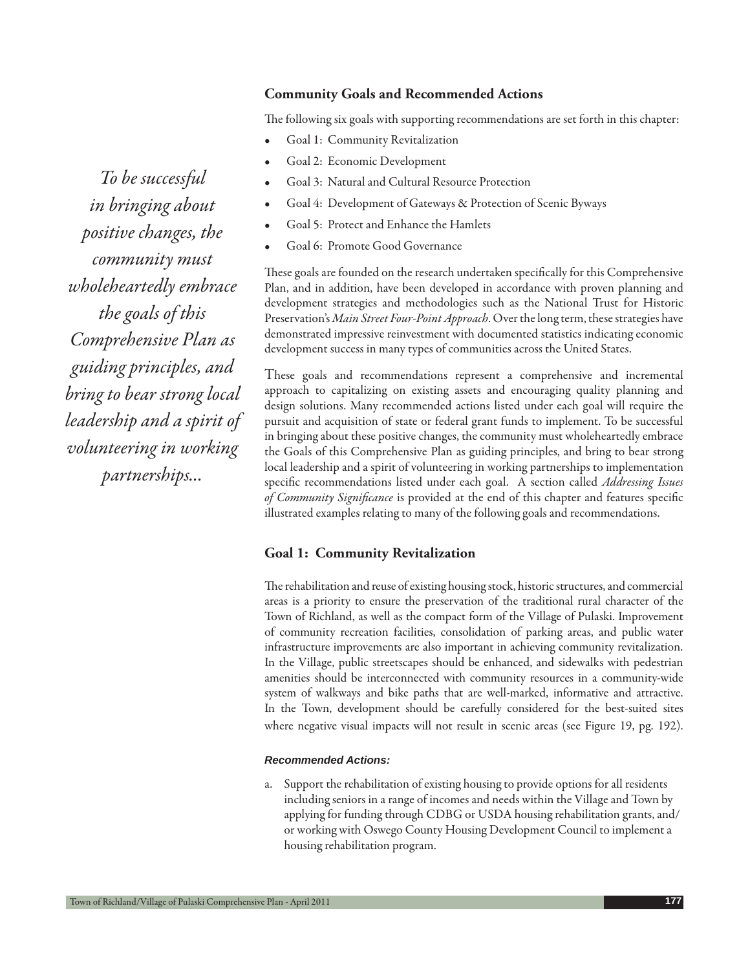## **Community Goals and Recommended Actions**

The following six goals with supporting recommendations are set forth in this chapter:

- Goal 1: Community Revitalization
- Goal 2: Economic Development
- Goal 3: Natural and Cultural Resource Protection
- Goal 4: Development of Gateways & Protection of Scenic Byways
- Goal 5: Protect and Enhance the Hamlets
- Goal 6: Promote Good Governance

These goals are founded on the research undertaken specifically for this Comprehensive Plan, and in addition, have been developed in accordance with proven planning and development strategies and methodologies such as the National Trust for Historic Preservation's *Main Street Four-Point Approach*. Over the long term, these strategies have demonstrated impressive reinvestment with documented statistics indicating economic development success in many types of communities across the United States.

These goals and recommendations represent a comprehensive and incremental approach to capitalizing on existing assets and encouraging quality planning and design solutions. Many recommended actions listed under each goal will require the pursuit and acquisition of state or federal grant funds to implement. To be successful in bringing about these positive changes, the community must wholeheartedly embrace the Goals of this Comprehensive Plan as guiding principles, and bring to bear strong local leadership and a spirit of volunteering in working partnerships to implementation specific recommendations listed under each goal. A section called *Addressing Issues* of Community Significance is provided at the end of this chapter and features specific illustrated examples relating to many of the following goals and recommendations.

#### **Goal 1: Community Revitalization**

The rehabilitation and reuse of existing housing stock, historic structures, and commercial areas is a priority to ensure the preservation of the traditional rural character of the Town of Richland, as well as the compact form of the Village of Pulaski. Improvement of community recreation facilities, consolidation of parking areas, and public water infrastructure improvements are also important in achieving community revitalization. In the Village, public streetscapes should be enhanced, and sidewalks with pedestrian amenities should be interconnected with community resources in a community-wide system of walkways and bike paths that are well-marked, informative and attractive. In the Town, development should be carefully considered for the best-suited sites where negative visual impacts will not result in scenic areas (see Figure 19, pg. 192).

#### *Recommended Actions:*

a. Support the rehabilitation of existing housing to provide options for all residents including seniors in a range of incomes and needs within the Village and Town by applying for funding through CDBG or USDA housing rehabilitation grants, and/ or working with Oswego County Housing Development Council to implement a housing rehabilitation program.

*To be successful in bringing about positive changes, the community must wholeheartedly embrace the goals of this Comprehensive Plan as guiding principles, and bring to bear strong local leadership and a spirit of volunteering in working partnerships...*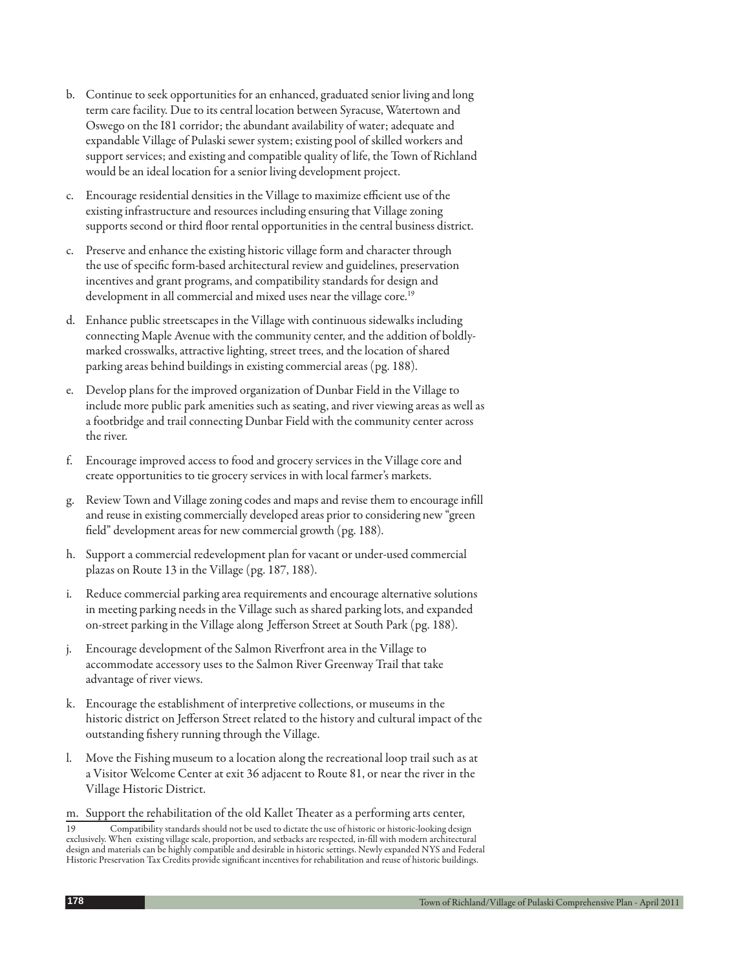- b. Continue to seek opportunities for an enhanced, graduated senior living and long term care facility. Due to its central location between Syracuse, Watertown and Oswego on the I81 corridor; the abundant availability of water; adequate and expandable Village of Pulaski sewer system; existing pool of skilled workers and support services; and existing and compatible quality of life, the Town of Richland would be an ideal location for a senior living development project.
- c. Encourage residential densities in the Village to maximize efficient use of the existing infrastructure and resources including ensuring that Village zoning supports second or third floor rental opportunities in the central business district.
- c. Preserve and enhance the existing historic village form and character through the use of specific form-based architectural review and guidelines, preservation incentives and grant programs, and compatibility standards for design and development in all commercial and mixed uses near the village core.<sup>19</sup>
- d. Enhance public streetscapes in the Village with continuous sidewalks including connecting Maple Avenue with the community center, and the addition of boldlymarked crosswalks, attractive lighting, street trees, and the location of shared parking areas behind buildings in existing commercial areas (pg. 188).
- e. Develop plans for the improved organization of Dunbar Field in the Village to include more public park amenities such as seating, and river viewing areas as well as a footbridge and trail connecting Dunbar Field with the community center across the river.
- f. Encourage improved access to food and grocery services in the Village core and create opportunities to tie grocery services in with local farmer's markets.
- g. Review Town and Village zoning codes and maps and revise them to encourage infill and reuse in existing commercially developed areas prior to considering new "green field" development areas for new commercial growth (pg. 188).
- h. Support a commercial redevelopment plan for vacant or under-used commercial plazas on Route 13 in the Village (pg. 187, 188).
- Reduce commercial parking area requirements and encourage alternative solutions in meeting parking needs in the Village such as shared parking lots, and expanded on-street parking in the Village along Jefferson Street at South Park (pg. 188).
- j. Encourage development of the Salmon Riverfront area in the Village to accommodate accessory uses to the Salmon River Greenway Trail that take advantage of river views.
- k. Encourage the establishment of interpretive collections, or museums in the historic district on Jefferson Street related to the history and cultural impact of the outstanding fishery running through the Village.
- l. Move the Fishing museum to a location along the recreational loop trail such as at a Visitor Welcome Center at exit 36 adjacent to Route 81, or near the river in the Village Historic District.
- m. Support the rehabilitation of the old Kallet Theater as a performing arts center,

<sup>19</sup> Compatibility standards should not be used to dictate the use of historic or historic-looking design exclusively. When existing village scale, proportion, and setbacks are respected, in-fill with modern architectural design and materials can be highly compatible and desirable in historic settings. Newly expanded NYS and Federal Historic Preservation Tax Credits provide significant incentives for rehabilitation and reuse of historic buildings.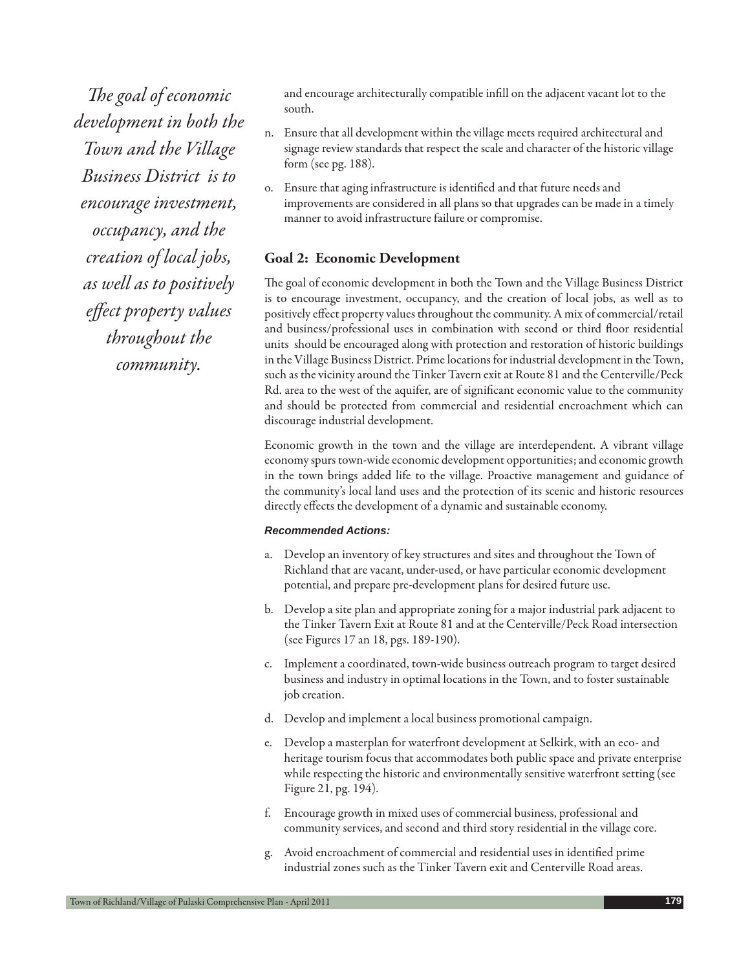*The goal of economic development in both the Town and the Village Business District is to encourage investment, occupancy, and the creation of local jobs, as well as to positively effect property values throughout the community.*

and encourage architecturally compatible infill on the adjacent vacant lot to the south.

- n. Ensure that all development within the village meets required architectural and signage review standards that respect the scale and character of the historic village form (see pg. 188).
- o. Ensure that aging infrastructure is identified and that future needs and improvements are considered in all plans so that upgrades can be made in a timely manner to avoid infrastructure failure or compromise.

## **Goal 2: Economic Development**

The goal of economic development in both the Town and the Village Business District is to encourage investment, occupancy, and the creation of local jobs, as well as to positively effect property values throughout the community. A mix of commercial/retail and business/professional uses in combination with second or third floor residential units should be encouraged along with protection and restoration of historic buildings in the Village Business District. Prime locations for industrial development in the Town, such as the vicinity around the Tinker Tavern exit at Route 81 and the Centerville/Peck Rd. area to the west of the aquifer, are of significant economic value to the community and should be protected from commercial and residential encroachment which can discourage industrial development.

Economic growth in the town and the village are interdependent. A vibrant village economy spurs town-wide economic development opportunities; and economic growth in the town brings added life to the village. Proactive management and guidance of the community's local land uses and the protection of its scenic and historic resources directly effects the development of a dynamic and sustainable economy.

- a. Develop an inventory of key structures and sites and throughout the Town of Richland that are vacant, under-used, or have particular economic development potential, and prepare pre-development plans for desired future use.
- b. Develop a site plan and appropriate zoning for a major industrial park adjacent to the Tinker Tavern Exit at Route 81 and at the Centerville/Peck Road intersection (see Figures 17 an 18, pgs. 189-190).
- c. Implement a coordinated, town-wide business outreach program to target desired business and industry in optimal locations in the Town, and to foster sustainable job creation.
- d. Develop and implement a local business promotional campaign.
- e. Develop a masterplan for waterfront development at Selkirk, with an eco- and heritage tourism focus that accommodates both public space and private enterprise while respecting the historic and environmentally sensitive waterfront setting (see Figure 21, pg. 194).
- f. Encourage growth in mixed uses of commercial business, professional and community services, and second and third story residential in the village core.
- g. Avoid encroachment of commercial and residential uses in identified prime industrial zones such as the Tinker Tavern exit and Centerville Road areas.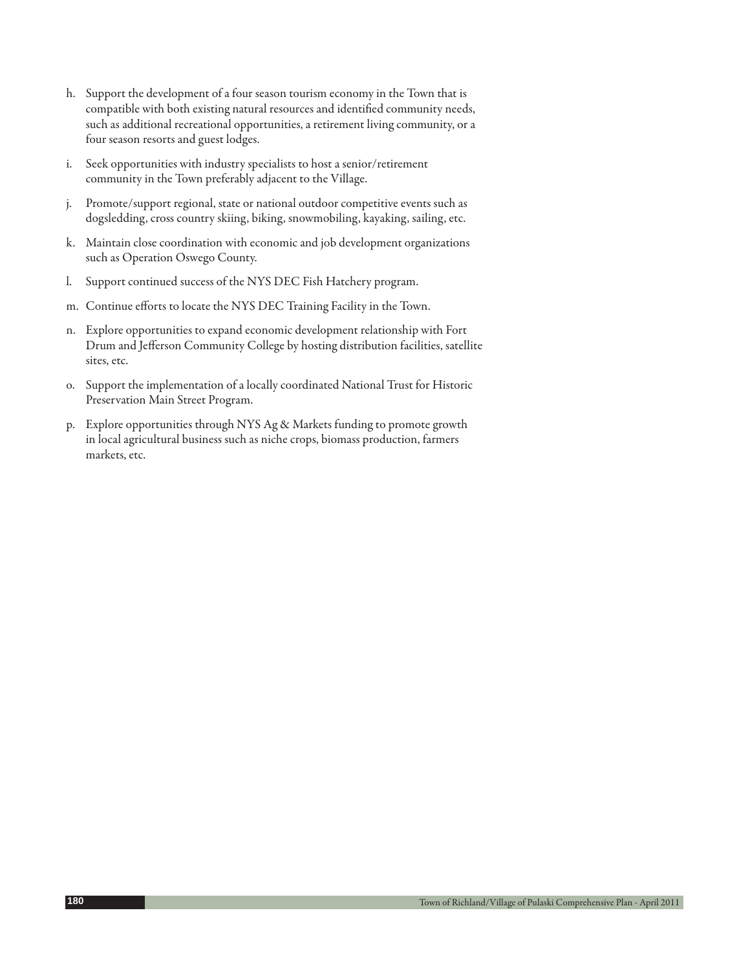- h. Support the development of a four season tourism economy in the Town that is compatible with both existing natural resources and identified community needs, such as additional recreational opportunities, a retirement living community, or a four season resorts and guest lodges.
- i. Seek opportunities with industry specialists to host a senior/retirement community in the Town preferably adjacent to the Village.
- j. Promote/support regional, state or national outdoor competitive events such as dogsledding, cross country skiing, biking, snowmobiling, kayaking, sailing, etc.
- k. Maintain close coordination with economic and job development organizations such as Operation Oswego County.
- l. Support continued success of the NYS DEC Fish Hatchery program.
- m. Continue efforts to locate the NYS DEC Training Facility in the Town.
- n. Explore opportunities to expand economic development relationship with Fort Drum and Jefferson Community College by hosting distribution facilities, satellite sites, etc.
- o. Support the implementation of a locally coordinated National Trust for Historic Preservation Main Street Program.
- p. Explore opportunities through NYS Ag & Markets funding to promote growth in local agricultural business such as niche crops, biomass production, farmers markets, etc.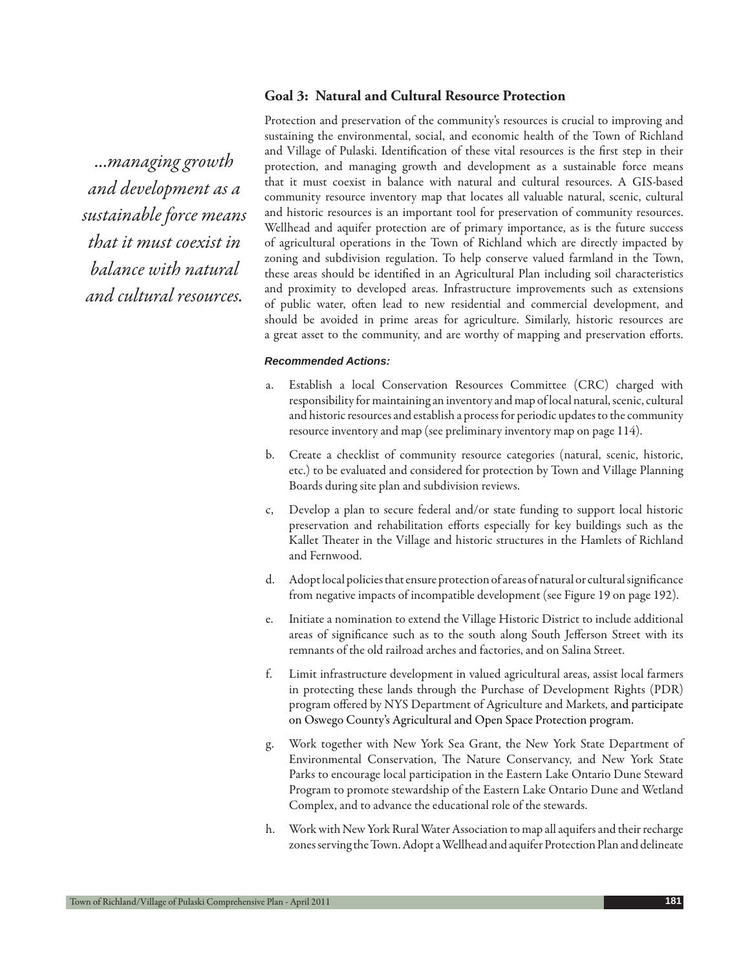## **Goal 3: Natural and Cultural Resource Protection**

*...managing growth and development as a sustainable force means that it must coexist in balance with natural and cultural resources.*

Protection and preservation of the community's resources is crucial to improving and sustaining the environmental, social, and economic health of the Town of Richland and Village of Pulaski. Identification of these vital resources is the first step in their protection, and managing growth and development as a sustainable force means that it must coexist in balance with natural and cultural resources. A GIS-based community resource inventory map that locates all valuable natural, scenic, cultural and historic resources is an important tool for preservation of community resources. Wellhead and aquifer protection are of primary importance, as is the future success of agricultural operations in the Town of Richland which are directly impacted by zoning and subdivision regulation. To help conserve valued farmland in the Town, these areas should be identified in an Agricultural Plan including soil characteristics and proximity to developed areas. Infrastructure improvements such as extensions of public water, often lead to new residential and commercial development, and should be avoided in prime areas for agriculture. Similarly, historic resources are a great asset to the community, and are worthy of mapping and preservation efforts.

- a. Establish a local Conservation Resources Committee (CRC) charged with responsibility for maintaining an inventory and map of local natural, scenic, cultural and historic resources and establish a process for periodic updates to the community resource inventory and map (see preliminary inventory map on page 114).
- b. Create a checklist of community resource categories (natural, scenic, historic, etc.) to be evaluated and considered for protection by Town and Village Planning Boards during site plan and subdivision reviews.
- c, Develop a plan to secure federal and/or state funding to support local historic preservation and rehabilitation efforts especially for key buildings such as the Kallet Theater in the Village and historic structures in the Hamlets of Richland and Fernwood.
- d. Adopt local policies that ensure protection of areas of natural or cultural significance from negative impacts of incompatible development (see Figure 19 on page 192).
- e. Initiate a nomination to extend the Village Historic District to include additional areas of significance such as to the south along South Jefferson Street with its remnants of the old railroad arches and factories, and on Salina Street.
- f. Limit infrastructure development in valued agricultural areas, assist local farmers in protecting these lands through the Purchase of Development Rights (PDR) program offered by NYS Department of Agriculture and Markets, and participate on Oswego County's Agricultural and Open Space Protection program.
- g. Work together with New York Sea Grant, the New York State Department of Environmental Conservation, The Nature Conservancy, and New York State Parks to encourage local participation in the Eastern Lake Ontario Dune Steward Program to promote stewardship of the Eastern Lake Ontario Dune and Wetland Complex, and to advance the educational role of the stewards.
- h. Work with New York Rural Water Association to map all aquifers and their recharge zones serving the Town. Adopt a Wellhead and aquifer Protection Plan and delineate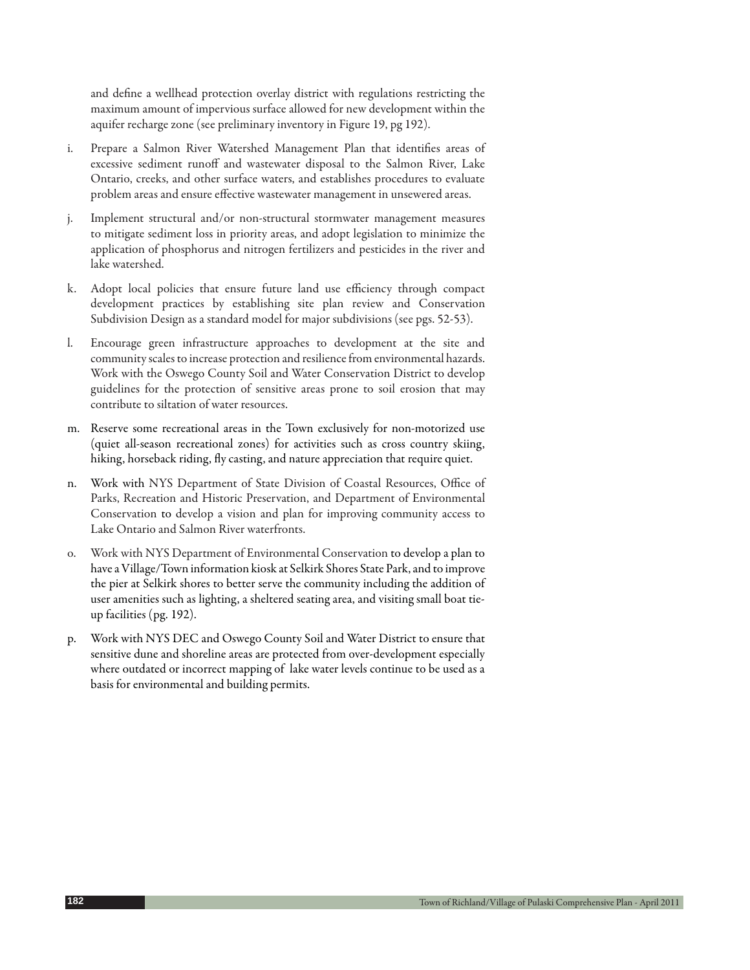and define a wellhead protection overlay district with regulations restricting the maximum amount of impervious surface allowed for new development within the aquifer recharge zone (see preliminary inventory in Figure 19, pg 192).

- i. Prepare a Salmon River Watershed Management Plan that identifies areas of excessive sediment runoff and wastewater disposal to the Salmon River, Lake Ontario, creeks, and other surface waters, and establishes procedures to evaluate problem areas and ensure effective wastewater management in unsewered areas.
- j. Implement structural and/or non-structural stormwater management measures to mitigate sediment loss in priority areas, and adopt legislation to minimize the application of phosphorus and nitrogen fertilizers and pesticides in the river and lake watershed.
- k. Adopt local policies that ensure future land use efficiency through compact development practices by establishing site plan review and Conservation Subdivision Design as a standard model for major subdivisions (see pgs. 52-53).
- l. Encourage green infrastructure approaches to development at the site and community scales to increase protection and resilience from environmental hazards. Work with the Oswego County Soil and Water Conservation District to develop guidelines for the protection of sensitive areas prone to soil erosion that may contribute to siltation of water resources.
- m. Reserve some recreational areas in the Town exclusively for non-motorized use (quiet all-season recreational zones) for activities such as cross country skiing, hiking, horseback riding, fly casting, and nature appreciation that require quiet.
- n. Work with NYS Department of State Division of Coastal Resources, Office of Parks, Recreation and Historic Preservation, and Department of Environmental Conservation to develop a vision and plan for improving community access to Lake Ontario and Salmon River waterfronts.
- o. Work with NYS Department of Environmental Conservation to develop a plan to have a Village/Town information kiosk at Selkirk Shores State Park, and to improve the pier at Selkirk shores to better serve the community including the addition of user amenities such as lighting, a sheltered seating area, and visiting small boat tieup facilities (pg. 192).
- p. Work with NYS DEC and Oswego County Soil and Water District to ensure that sensitive dune and shoreline areas are protected from over-development especially where outdated or incorrect mapping of lake water levels continue to be used as a basis for environmental and building permits.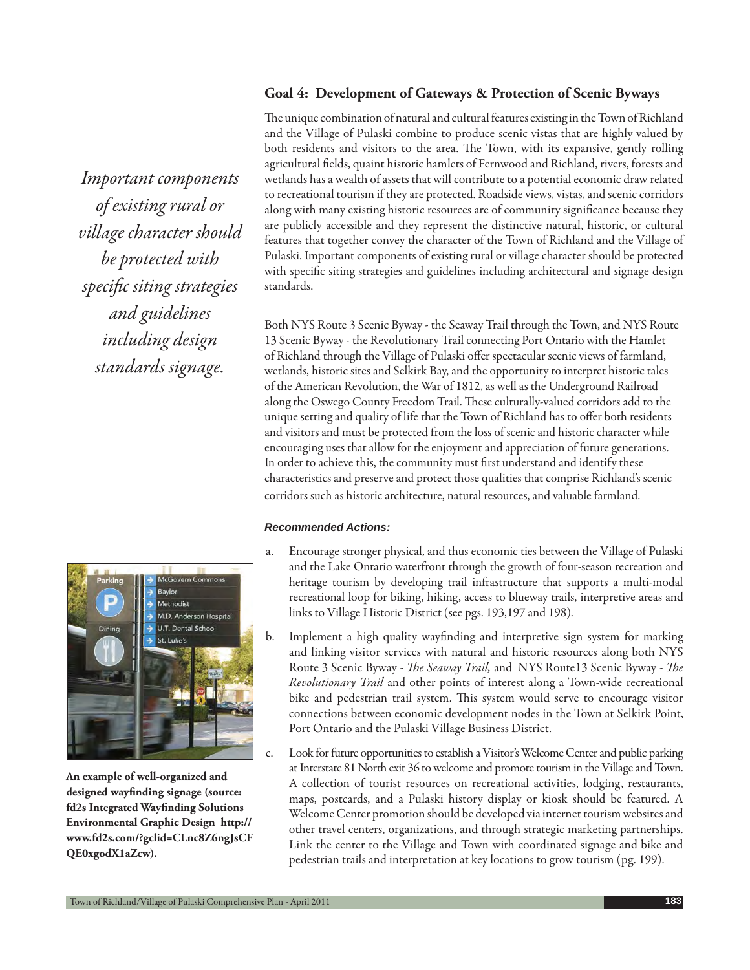## **Goal 4: Development of Gateways & Protection of Scenic Byways**

*Important components of existing rural or village character should be protected with specifi c siting strategies and guidelines including design standards signage.*



**An example of well-organized and**  designed wayfinding signage (source: **fd2s Integrated Wayfinding Solutions Environmental Graphic Design http:// www.fd2s.com/?gclid=CLnc8Z6ngJsCF QE0xgodX1aZcw).**

The unique combination of natural and cultural features existing in the Town of Richland and the Village of Pulaski combine to produce scenic vistas that are highly valued by both residents and visitors to the area. The Town, with its expansive, gently rolling agricultural fields, quaint historic hamlets of Fernwood and Richland, rivers, forests and wetlands has a wealth of assets that will contribute to a potential economic draw related to recreational tourism if they are protected. Roadside views, vistas, and scenic corridors along with many existing historic resources are of community significance because they are publicly accessible and they represent the distinctive natural, historic, or cultural features that together convey the character of the Town of Richland and the Village of Pulaski. Important components of existing rural or village character should be protected with specific siting strategies and guidelines including architectural and signage design standards.

Both NYS Route 3 Scenic Byway - the Seaway Trail through the Town, and NYS Route 13 Scenic Byway - the Revolutionary Trail connecting Port Ontario with the Hamlet of Richland through the Village of Pulaski offer spectacular scenic views of farmland, wetlands, historic sites and Selkirk Bay, and the opportunity to interpret historic tales of the American Revolution, the War of 1812, as well as the Underground Railroad along the Oswego County Freedom Trail. These culturally-valued corridors add to the unique setting and quality of life that the Town of Richland has to offer both residents and visitors and must be protected from the loss of scenic and historic character while encouraging uses that allow for the enjoyment and appreciation of future generations. In order to achieve this, the community must first understand and identify these characteristics and preserve and protect those qualities that comprise Richland's scenic corridors such as historic architecture, natural resources, and valuable farmland.

- a. Encourage stronger physical, and thus economic ties between the Village of Pulaski and the Lake Ontario waterfront through the growth of four-season recreation and heritage tourism by developing trail infrastructure that supports a multi-modal recreational loop for biking, hiking, access to blueway trails, interpretive areas and links to Village Historic District (see pgs. 193,197 and 198).
- b. Implement a high quality wayfinding and interpretive sign system for marking and linking visitor services with natural and historic resources along both NYS Route 3 Scenic Byway - *The Seaway Trail*, and NYS Route13 Scenic Byway - *The Revolutionary Trail* and other points of interest along a Town-wide recreational bike and pedestrian trail system. This system would serve to encourage visitor connections between economic development nodes in the Town at Selkirk Point, Port Ontario and the Pulaski Village Business District.
- c. Look for future opportunities to establish a Visitor's Welcome Center and public parking at Interstate 81 North exit 36 to welcome and promote tourism in the Village and Town. A collection of tourist resources on recreational activities, lodging, restaurants, maps, postcards, and a Pulaski history display or kiosk should be featured. A Welcome Center promotion should be developed via internet tourism websites and other travel centers, organizations, and through strategic marketing partnerships. Link the center to the Village and Town with coordinated signage and bike and pedestrian trails and interpretation at key locations to grow tourism (pg. 199).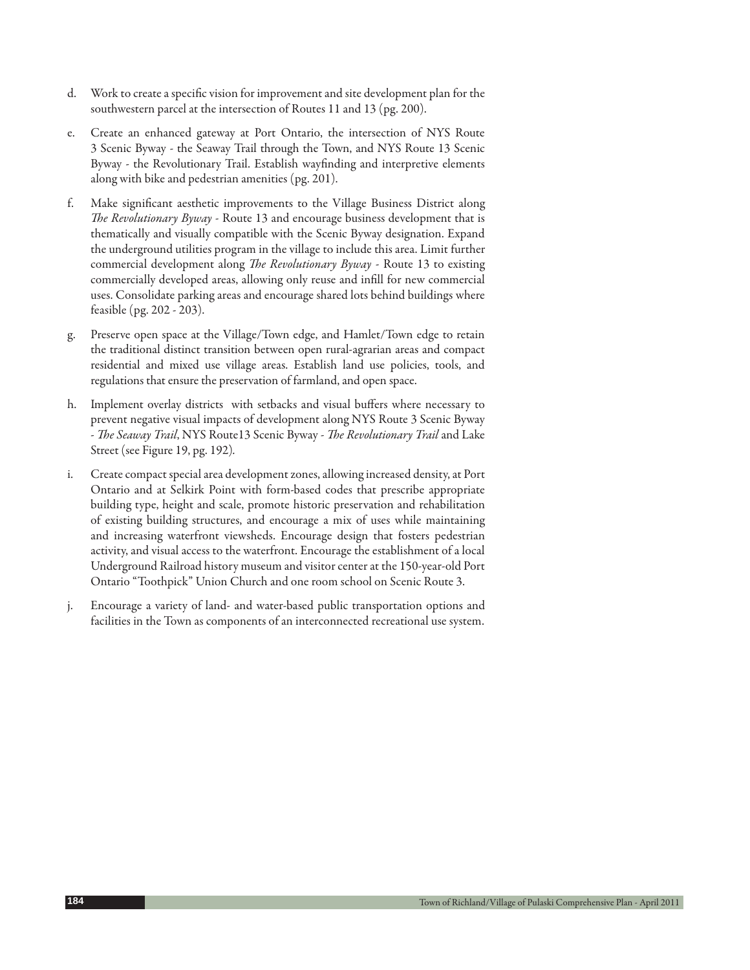- d. Work to create a specific vision for improvement and site development plan for the southwestern parcel at the intersection of Routes 11 and 13 (pg. 200).
- e. Create an enhanced gateway at Port Ontario, the intersection of NYS Route 3 Scenic Byway - the Seaway Trail through the Town, and NYS Route 13 Scenic Byway - the Revolutionary Trail. Establish wayfinding and interpretive elements along with bike and pedestrian amenities (pg. 201).
- f. Make significant aesthetic improvements to the Village Business District along *The Revolutionary Byway* - Route 13 and encourage business development that is thematically and visually compatible with the Scenic Byway designation. Expand the underground utilities program in the village to include this area. Limit further commercial development along *The Revolutionary Byway* - Route 13 to existing commercially developed areas, allowing only reuse and infill for new commercial uses. Consolidate parking areas and encourage shared lots behind buildings where feasible (pg. 202 - 203).
- g. Preserve open space at the Village/Town edge, and Hamlet/Town edge to retain the traditional distinct transition between open rural-agrarian areas and compact residential and mixed use village areas. Establish land use policies, tools, and regulations that ensure the preservation of farmland, and open space.
- h. Implement overlay districts with setbacks and visual buffers where necessary to prevent negative visual impacts of development along NYS Route 3 Scenic Byway - *The Seaway Trail*, NYS Route13 Scenic Byway - *The Revolutionary Trail* and Lake Street (see Figure 19, pg. 192)*.*
- i. Create compact special area development zones, allowing increased density, at Port Ontario and at Selkirk Point with form-based codes that prescribe appropriate building type, height and scale, promote historic preservation and rehabilitation of existing building structures, and encourage a mix of uses while maintaining and increasing waterfront viewsheds. Encourage design that fosters pedestrian activity, and visual access to the waterfront. Encourage the establishment of a local Underground Railroad history museum and visitor center at the 150-year-old Port Ontario "Toothpick" Union Church and one room school on Scenic Route 3.
- j. Encourage a variety of land- and water-based public transportation options and facilities in the Town as components of an interconnected recreational use system.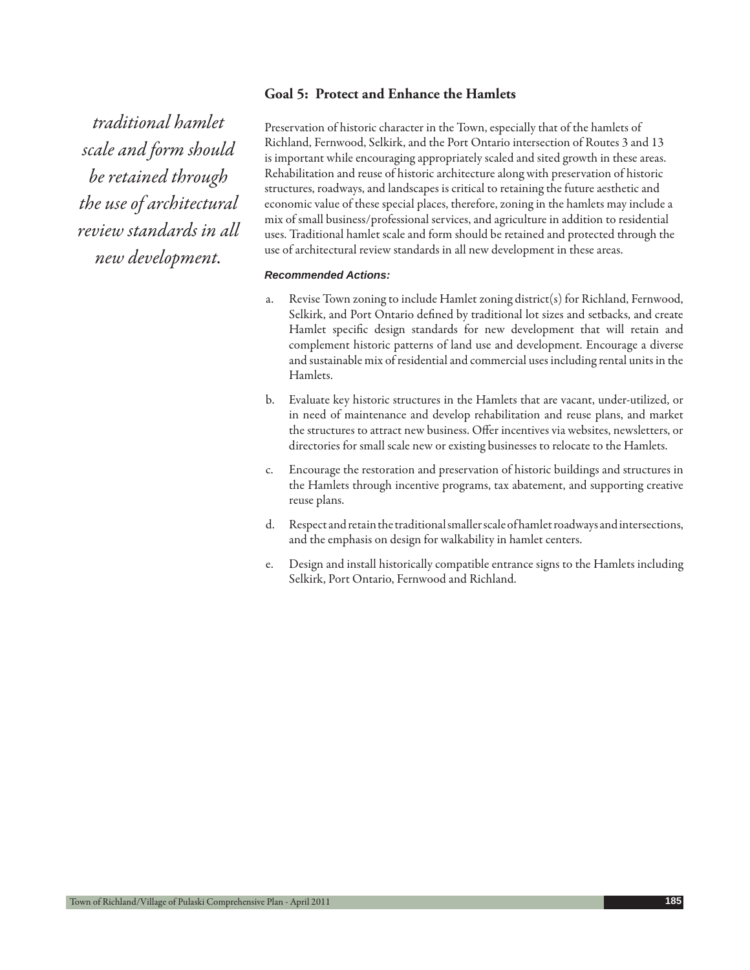## **Goal 5: Protect and Enhance the Hamlets**

*traditional hamlet scale and form should be retained through the use of architectural review standards in all new development.* 

Preservation of historic character in the Town, especially that of the hamlets of Richland, Fernwood, Selkirk, and the Port Ontario intersection of Routes 3 and 13 is important while encouraging appropriately scaled and sited growth in these areas. Rehabilitation and reuse of historic architecture along with preservation of historic structures, roadways, and landscapes is critical to retaining the future aesthetic and economic value of these special places, therefore, zoning in the hamlets may include a mix of small business/professional services, and agriculture in addition to residential uses. Traditional hamlet scale and form should be retained and protected through the use of architectural review standards in all new development in these areas.

- a. Revise Town zoning to include Hamlet zoning district(s) for Richland, Fernwood, Selkirk, and Port Ontario defined by traditional lot sizes and setbacks, and create Hamlet specific design standards for new development that will retain and complement historic patterns of land use and development. Encourage a diverse and sustainable mix of residential and commercial uses including rental units in the Hamlets.
- b. Evaluate key historic structures in the Hamlets that are vacant, under-utilized, or in need of maintenance and develop rehabilitation and reuse plans, and market the structures to attract new business. Offer incentives via websites, newsletters, or directories for small scale new or existing businesses to relocate to the Hamlets.
- c. Encourage the restoration and preservation of historic buildings and structures in the Hamlets through incentive programs, tax abatement, and supporting creative reuse plans.
- d. Respect and retain the traditional smaller scale of hamlet roadways and intersections, and the emphasis on design for walkability in hamlet centers.
- e. Design and install historically compatible entrance signs to the Hamlets including Selkirk, Port Ontario, Fernwood and Richland.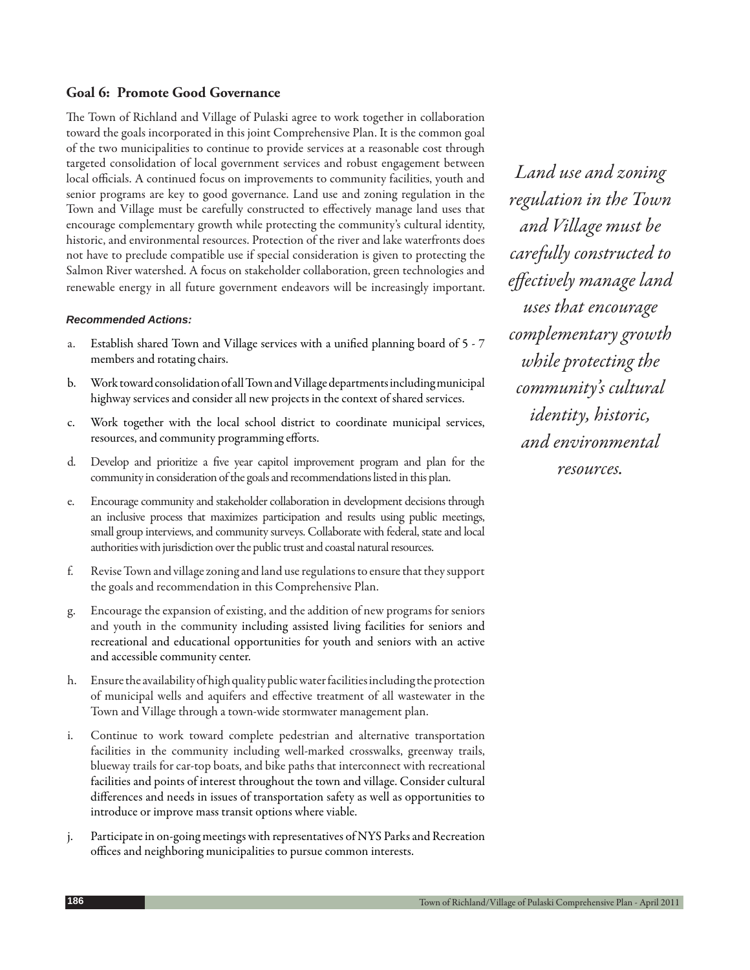## **Goal 6: Promote Good Governance**

The Town of Richland and Village of Pulaski agree to work together in collaboration toward the goals incorporated in this joint Comprehensive Plan. It is the common goal of the two municipalities to continue to provide services at a reasonable cost through targeted consolidation of local government services and robust engagement between local officials. A continued focus on improvements to community facilities, youth and senior programs are key to good governance. Land use and zoning regulation in the Town and Village must be carefully constructed to effectively manage land uses that encourage complementary growth while protecting the community's cultural identity, historic, and environmental resources. Protection of the river and lake waterfronts does not have to preclude compatible use if special consideration is given to protecting the Salmon River watershed. A focus on stakeholder collaboration, green technologies and renewable energy in all future government endeavors will be increasingly important.

#### *Recommended Actions:*

- a. Establish shared Town and Village services with a unified planning board of 5 7 members and rotating chairs.
- b. Work toward consolidation of all Town and Village departments including municipal highway services and consider all new projects in the context of shared services.
- c. Work together with the local school district to coordinate municipal services, resources, and community programming efforts.
- d. Develop and prioritize a five year capitol improvement program and plan for the community in consideration of the goals and recommendations listed in this plan.
- e. Encourage community and stakeholder collaboration in development decisions through an inclusive process that maximizes participation and results using public meetings, small group interviews, and community surveys. Collaborate with federal, state and local authorities with jurisdiction over the public trust and coastal natural resources.
- f. Revise Town and village zoning and land use regulations to ensure that they support the goals and recommendation in this Comprehensive Plan.
- g. Encourage the expansion of existing, and the addition of new programs for seniors and youth in the community including assisted living facilities for seniors and recreational and educational opportunities for youth and seniors with an active and accessible community center.
- h. Ensure the availability of high quality public water facilities including the protection of municipal wells and aquifers and effective treatment of all wastewater in the Town and Village through a town-wide stormwater management plan.
- i. Continue to work toward complete pedestrian and alternative transportation facilities in the community including well-marked crosswalks, greenway trails, blueway trails for car-top boats, and bike paths that interconnect with recreational facilities and points of interest throughout the town and village. Consider cultural differences and needs in issues of transportation safety as well as opportunities to introduce or improve mass transit options where viable.
- j. Participate in on-going meetings with representatives of NYS Parks and Recreation offices and neighboring municipalities to pursue common interests.

*Land use and zoning regulation in the Town and Village must be carefully constructed to eff ectively manage land uses that encourage complementary growth while protecting the community's cultural identity, historic, and environmental resources.*